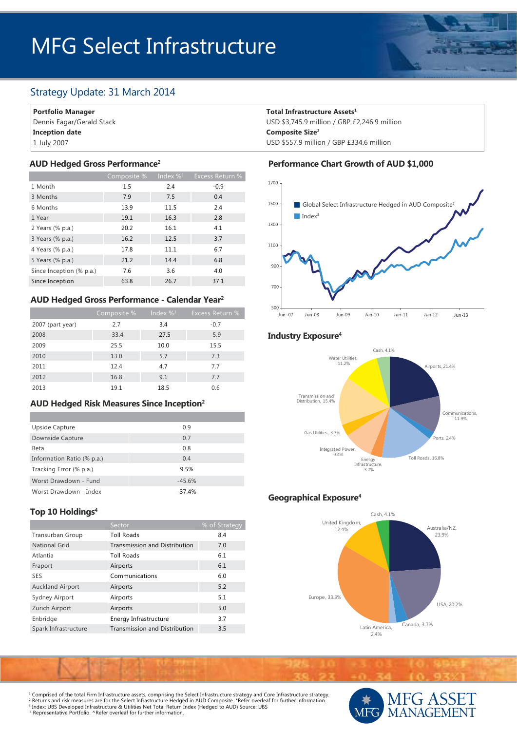# MFG Select Infrastructure

# Strategy Update: 31 March 2014

**Portfolio Manager**

Dennis Eagar/Gerald Stack **Inception date** 1 July 2007

|                          | Composite % | Index $\%$ <sup>3</sup> | <b>Excess Return %</b> |
|--------------------------|-------------|-------------------------|------------------------|
| 1 Month                  | 1.5         | 2.4                     | $-0.9$                 |
| 3 Months                 | 7.9         | 7.5                     | 0.4                    |
| 6 Months                 | 13.9        | 11.5                    | 2.4                    |
| 1 Year                   | 19.1        | 16.3                    | 2.8                    |
| 2 Years (% p.a.)         | 20.2        | 16.1                    | 4.1                    |
| 3 Years (% p.a.)         | 16.2        | 12.5                    | 3.7                    |
| 4 Years (% p.a.)         | 17.8        | 11.1                    | 6.7                    |
| 5 Years (% p.a.)         | 21.2        | 14.4                    | 6.8                    |
| Since Inception (% p.a.) | 7.6         | 3.6                     | 4.0                    |
| Since Inception          | 63.8        | 26.7                    | 37.1                   |

#### **AUD Hedged Gross Performance - Calendar Year2**

|                  | Composite % | Index $\%$ <sup>3</sup> | <b>Excess Return %</b> |
|------------------|-------------|-------------------------|------------------------|
| 2007 (part year) | 2.7         | 3.4                     | $-0.7$                 |
| 2008             | $-33.4$     | $-27.5$                 | $-5.9$                 |
| 2009             | 25.5        | 10.0                    | 15.5                   |
| 2010             | 13.0        | 5.7                     | 7.3                    |
| 2011             | 12.4        | 4.7                     | 7.7                    |
| 2012             | 16.8        | 9.1                     | 7.7                    |
| 2013             | 19.1        | 18.5                    | 0.6                    |

#### **AUD Hedged Risk Measures Since Inception2**

| Upside Capture             | 0.9      |
|----------------------------|----------|
| Downside Capture           | 0.7      |
| Beta                       | 0.8      |
| Information Ratio (% p.a.) | 0.4      |
| Tracking Error (% p.a.)    | 9.5%     |
| Worst Drawdown - Fund      | $-45.6%$ |
| Worst Drawdown - Index     | $-37.4%$ |

#### **Top 10 Holdings4**

|                         | Sector                               | % of Strategy |
|-------------------------|--------------------------------------|---------------|
| Transurban Group        | <b>Toll Roads</b>                    | 8.4           |
| <b>National Grid</b>    | <b>Transmission and Distribution</b> | 7.0           |
| Atlantia                | <b>Toll Roads</b>                    | 6.1           |
| Fraport                 | Airports                             | 6.1           |
| <b>SES</b>              | Communications                       | 6.0           |
| <b>Auckland Airport</b> | Airports                             | 5.2           |
| Sydney Airport          | Airports                             | 5.1           |
| Zurich Airport          | Airports                             | 5.0           |
| Enbridge                | Energy Infrastructure                | 3.7           |
| Spark Infrastructure    | Transmission and Distribution        | 3.5           |

#### **Total Infrastructure Assets1**

USD \$3,745.9 million / GBP £2,246.9 million **Composite Size2** USD \$557.9 million / GBP £334.6 million

#### **AUD Hedged Gross Performance2 Performance Chart Growth of AUD \$1,000**



#### **Industry Exposure4**



# **Geographical Exposure4**



1FG ASS MANAGEMENT

1 Comprised of the total Firm Infrastructure assets, comprising the Select Infrastructure strategy and Core Infrastructure strategy. <sup>2</sup> Returns and risk measures are for the Select Infrastructure Hedged in AUD Composite. \*Refer overleaf for further information.<br><sup>3</sup> Index: UBS Developed Infrastructure & Utilities Net Total Return Index (Hedged to AUD) S 4 Representative Portfolio. ^Refer overleaf for further information.

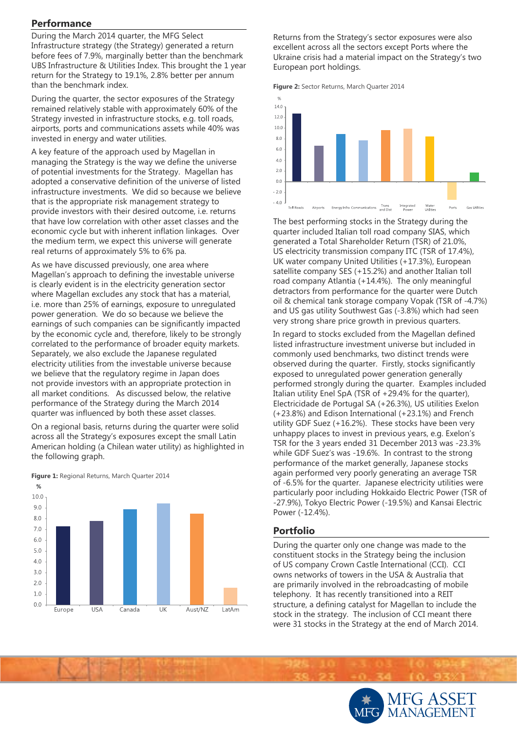## **Performance**

During the March 2014 quarter, the MFG Select Infrastructure strategy (the Strategy) generated a return before fees of 7.9%, marginally better than the benchmark UBS Infrastructure & Utilities Index. This brought the 1 year return for the Strategy to 19.1%, 2.8% better per annum than the benchmark index.

During the quarter, the sector exposures of the Strategy remained relatively stable with approximately 60% of the Strategy invested in infrastructure stocks, e.g. toll roads, airports, ports and communications assets while 40% was invested in energy and water utilities.

A key feature of the approach used by Magellan in managing the Strategy is the way we define the universe of potential investments for the Strategy. Magellan has adopted a conservative definition of the universe of listed infrastructure investments. We did so because we believe that is the appropriate risk management strategy to provide investors with their desired outcome, i.e. returns that have low correlation with other asset classes and the economic cycle but with inherent inflation linkages. Over the medium term, we expect this universe will generate real returns of approximately 5% to 6% pa.

As we have discussed previously, one area where Magellan's approach to defining the investable universe is clearly evident is in the electricity generation sector where Magellan excludes any stock that has a material, i.e. more than 25% of earnings, exposure to unregulated power generation. We do so because we believe the earnings of such companies can be significantly impacted by the economic cycle and, therefore, likely to be strongly correlated to the performance of broader equity markets. Separately, we also exclude the Japanese regulated electricity utilities from the investable universe because we believe that the regulatory regime in Japan does not provide investors with an appropriate protection in all market conditions. As discussed below, the relative performance of the Strategy during the March 2014 quarter was influenced by both these asset classes.

On a regional basis, returns during the quarter were solid across all the Strategy's exposures except the small Latin American holding (a Chilean water utility) as highlighted in the following graph.



#### **Figure 1:** Regional Returns, March Quarter 2014

Returns from the Strategy's sector exposures were also excellent across all the sectors except Ports where the Ukraine crisis had a material impact on the Strategy's two European port holdings.





The best performing stocks in the Strategy during the quarter included Italian toll road company SIAS, which generated a Total Shareholder Return (TSR) of 21.0%, US electricity transmission company ITC (TSR of 17.4%), UK water company United Utilities (+17.3%), European satellite company SES (+15.2%) and another Italian toll road company Atlantia (+14.4%). The only meaningful detractors from performance for the quarter were Dutch oil & chemical tank storage company Vopak (TSR of -4.7%) and US gas utility Southwest Gas (-3.8%) which had seen very strong share price growth in previous quarters.

In regard to stocks excluded from the Magellan defined listed infrastructure investment universe but included in commonly used benchmarks, two distinct trends were observed during the quarter. Firstly, stocks significantly exposed to unregulated power generation generally performed strongly during the quarter. Examples included Italian utility Enel SpA (TSR of +29.4% for the quarter), Electricidade de Portugal SA (+26.3%), US utilities Exelon (+23.8%) and Edison International (+23.1%) and French utility GDF Suez (+16.2%). These stocks have been very unhappy places to invest in previous years, e.g. Exelon's TSR for the 3 years ended 31 December 2013 was -23.3% while GDF Suez's was -19.6%. In contrast to the strong performance of the market generally, Japanese stocks again performed very poorly generating an average TSR of -6.5% for the quarter. Japanese electricity utilities were particularly poor including Hokkaido Electric Power (TSR of -27.9%), Tokyo Electric Power (-19.5%) and Kansai Electric Power (-12.4%).

# **Portfolio**

During the quarter only one change was made to the constituent stocks in the Strategy being the inclusion of US company Crown Castle International (CCI). CCI owns networks of towers in the USA & Australia that are primarily involved in the rebroadcasting of mobile telephony. It has recently transitioned into a REIT structure, a defining catalyst for Magellan to include the stock in the strategy. The inclusion of CCI meant there were 31 stocks in the Strategy at the end of March 2014.

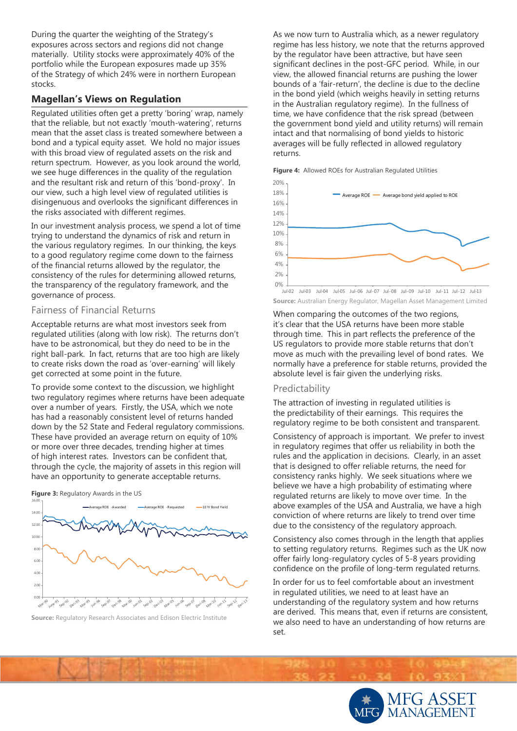During the quarter the weighting of the Strategy's exposures across sectors and regions did not change materially. Utility stocks were approximately 40% of the portfolio while the European exposures made up 35% of the Strategy of which 24% were in northern European stocks.

## **Magellan's Views on Regulation**

Regulated utilities often get a pretty 'boring' wrap, namely that the reliable, but not exactly 'mouth-watering', returns mean that the asset class is treated somewhere between a bond and a typical equity asset. We hold no major issues with this broad view of regulated assets on the risk and return spectrum. However, as you look around the world, we see huge differences in the quality of the regulation and the resultant risk and return of this 'bond-proxy'. In our view, such a high level view of regulated utilities is disingenuous and overlooks the significant differences in the risks associated with different regimes.

In our investment analysis process, we spend a lot of time trying to understand the dynamics of risk and return in the various regulatory regimes. In our thinking, the keys to a good regulatory regime come down to the fairness of the financial returns allowed by the regulator, the consistency of the rules for determining allowed returns, the transparency of the regulatory framework, and the governance of process.

#### Fairness of Financial Returns

Acceptable returns are what most investors seek from regulated utilities (along with low risk). The returns don't have to be astronomical, but they do need to be in the right ball-park. In fact, returns that are too high are likely to create risks down the road as 'over-earning' will likely get corrected at some point in the future.

To provide some context to the discussion, we highlight two regulatory regimes where returns have been adequate over a number of years. Firstly, the USA, which we note has had a reasonably consistent level of returns handed down by the 52 State and Federal regulatory commissions. These have provided an average return on equity of 10% or more over three decades, trending higher at times of high interest rates. Investors can be confident that, through the cycle, the majority of assets in this region will have an opportunity to generate acceptable returns.





**Source:** Regulatory Research Associates and Edison Electric Institute

As we now turn to Australia which, as a newer regulatory regime has less history, we note that the returns approved by the regulator have been attractive, but have seen significant declines in the post-GFC period. While, in our view, the allowed financial returns are pushing the lower bounds of a 'fair-return', the decline is due to the decline in the bond yield (which weighs heavily in setting returns in the Australian regulatory regime). In the fullness of time, we have confidence that the risk spread (between the government bond yield and utility returns) will remain intact and that normalising of bond yields to historic averages will be fully reflected in allowed regulatory returns.





**Source:** Australian Energy Regulator, Magellan Asset Management Limited Jul-02 Jul-03 Jul-04 Jul-05 Jul-06 Jul-07 Jul-08 Jul-09 Jul-10 Jul-11 Jul-12 Jul-13

When comparing the outcomes of the two regions, it's clear that the USA returns have been more stable through time. This in part reflects the preference of the US regulators to provide more stable returns that don't move as much with the prevailing level of bond rates. We normally have a preference for stable returns, provided the absolute level is fair given the underlying risks.

#### Predictability

The attraction of investing in regulated utilities is the predictability of their earnings. This requires the regulatory regime to be both consistent and transparent.

Consistency of approach is important. We prefer to invest in regulatory regimes that offer us reliability in both the rules and the application in decisions. Clearly, in an asset that is designed to offer reliable returns, the need for consistency ranks highly. We seek situations where we believe we have a high probability of estimating where regulated returns are likely to move over time. In the above examples of the USA and Australia, we have a high conviction of where returns are likely to trend over time due to the consistency of the regulatory approach.

Consistency also comes through in the length that applies to setting regulatory returns. Regimes such as the UK now offer fairly long-regulatory cycles of 5-8 years providing confidence on the profile of long-term regulated returns.

In order for us to feel comfortable about an investment in regulated utilities, we need to at least have an understanding of the regulatory system and how returns are derived. This means that, even if returns are consistent, we also need to have an understanding of how returns are set.